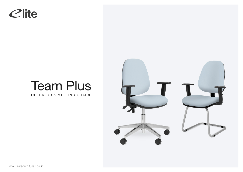## Clite

## Team Plus

OPERATOR & MEETING CHAIRS